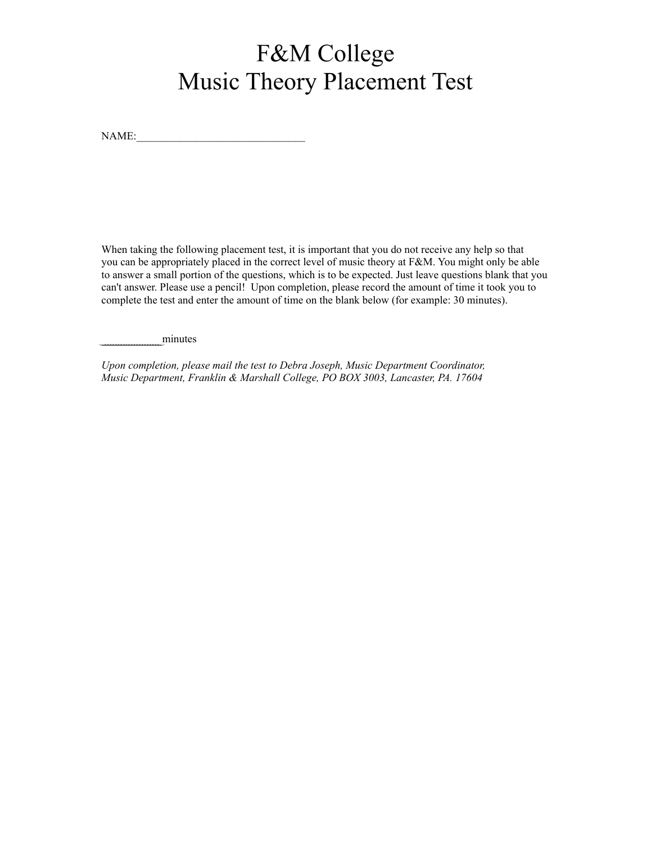# F&M College Music Theory Placement Test

NAME:

When taking the following placement test, it is important that you do not receive any help so that you can be appropriately placed in the correct level of music theory at F&M. You might only be able to answer a small portion of the questions, which is to be expected. Just leave questions blank that you can't answer. Please use a pencil! Upon completion, please record the amount of time it took you to complete the test and enter the amount of time on the blank below (for example: 30 minutes).

\_ minutes

*Upon completion, please mail the test to Debra Joseph, Music Department Coordinator, MusicDepartment, Franklin & Marshall College, PO BOX 3003, Lancaster, PA. 17604*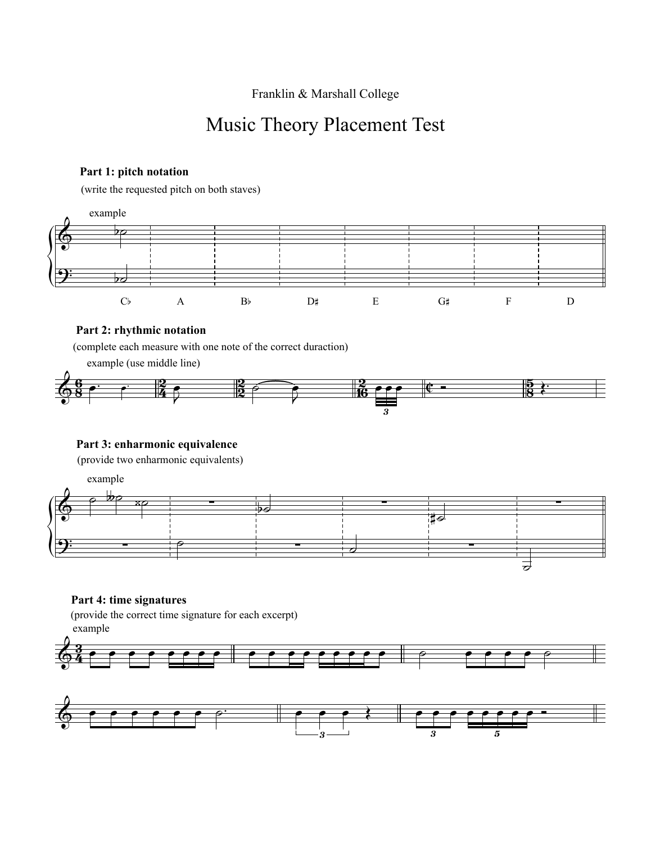Franklin & Marshall College

# Music Theory Placement Test

# **Part 1: pitch notation**

(write the requested pitch on both staves)



# **Part 2: rhythmic notation**

(complete each measure with one note of the correct duraction)

example (use middle line)



# **Part 3: enharmonic equivalence**

(provide two enharmonic equivalents)



# **Part 4: time signatures**

(provide the correct time signature for each excerpt) example



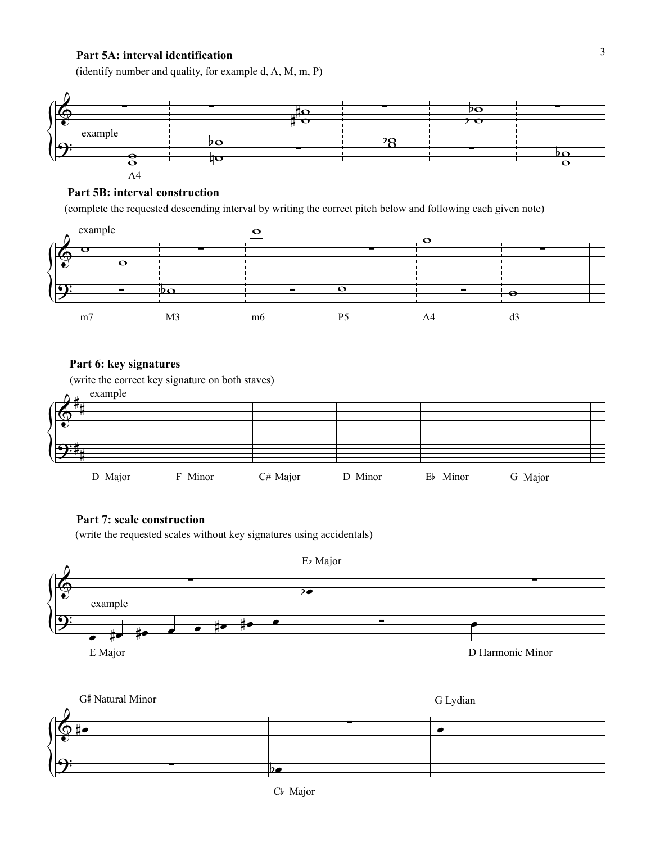#### **Part 5A: interval identification**

(identify number and quality, for example d, A, M, m, P)



#### **Part 5B: interval construction**

(complete the requested descending interval by writing the correct pitch below and following each given note)



# **Part 6: key signatures**

(write the correct key signature on both staves)



#### **Part 7: scale construction**

(write the requested scales without key signatures using accidentals)